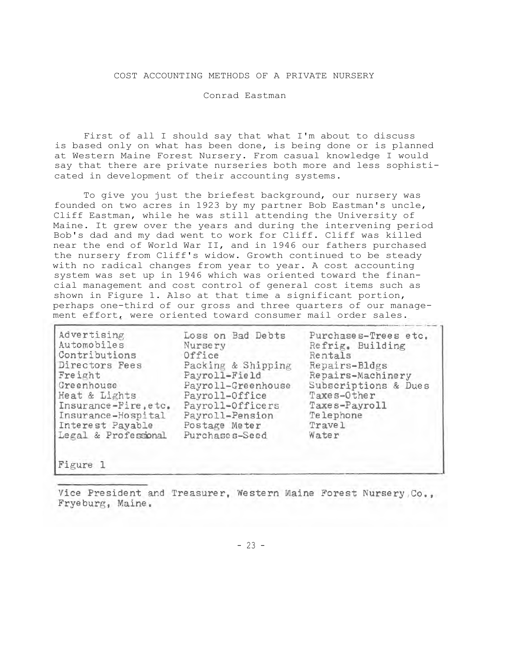## COST ACCOUNTING METHODS OF A PRIVATE NURSERY

Conrad Eastman

First of all I should say that what I'm about to discuss is based only on what has been done, is being done or is planned at Western Maine Forest Nursery. From casual knowledge I would say that there are private nurseries both more and less sophisticated in development of their accounting systems.

To give you just the briefest background, our nursery was founded on two acres in 1923 by my partner Bob Eastman's uncle, Cliff Eastman, while he was still attending the University of Maine. It grew over the years and during the intervening period Bob's dad and my dad went to work for Cliff. Cliff was killed near the end of World War II, and in 1946 our fathers purchased the nursery from Cliff's widow. Growth continued to be steady with no radical changes from year to year. A cost accounting system was set up in 1946 which was oriented toward the financial management and cost control of general cost items such as shown in Figure 1. Also at that time a significant portion, perhaps one-third of our gross and three quarters of our management effort, were oriented toward consumer mail order sales.

| Advertising<br>Automobiles | Loss on Bad Debts<br>Nursery | Purchases-Trees etc.<br>Refrig. Building |
|----------------------------|------------------------------|------------------------------------------|
| Contributions              | Office                       | Rentals                                  |
| Directors Fees             | Packing & Shipping           | Repairs-Bldgs                            |
| Freight                    | Payroll-Field                | Repairs-Machinery                        |
| Greenhouse                 | Payroll-Greenhouse           | Subscriptions & Dues                     |
| Heat & Lights              | Payroll-Office               | Taxes-Other                              |
| Insurance-Fire, etc.       | Payroll-Officers             | Taxes-Payroll                            |
| Insurance-Hospital         | Payroll-Pension              | Telephone                                |
| Interest Payable           | Postage Meter                | <b>Travel</b>                            |
| Legal & Professional       | Purchases-Seed               | Water                                    |
|                            |                              |                                          |

Figure 1

Vice President and Treasurer, Western Maine Forest Nursery Co., Fryeburg, Maine.

- 23 -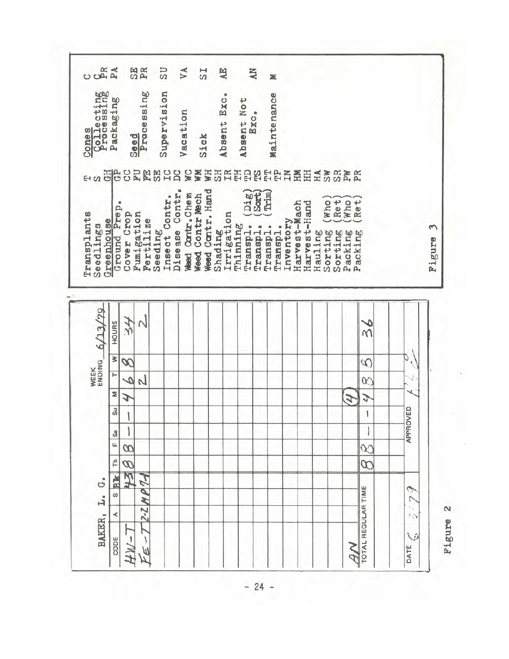$\overline{a}$ SE<br>PR SU VA  $_{\rm TS}$ AE **AN**  $\geq$ Cones<br>Collecting<br>Processing Supervision Processing Absent Exc. Maintenance Packaging Absent Not Exc. Vacation Sick Seed 레리 **ESHA SUBB8EBB DP SM WW** WН 重臣さまだまだ  $H<sub>0</sub>$ Disease Contr. Weed Contr. Hand  $\frac{(\text{Di}\,\mathbf{g})}{(\text{Sort})}$  $(\text{Trim})$ Weed Contr. Chem Seeding<br>Insect Contr. Weed Contr Mech  $Re t)$  $($ Ret $)$  $(Who)$ Who. Harvest-Mach Harvest-Hand Ground Prep Shading<br>Irrigation Cover Crop Fumigation Transplants **Fertilize** Inventory Greenhouse Seedlings Transpl. Transpl. Thinning Transpl. Transpl. ξ Hauling Sorting Sorting Packing Packing Figure WEEK 6/13/79 34  $\sim$ HOURS ھ  $\tilde{M}$ Q  $T$  W œ D ų  $\sqrt{ }$ S  $\infty$ z J  $\mathcal{L}$ J Su APPROVED  $\begin{array}{c} \rule{0pt}{2ex} \rule{0pt}{2ex} \rule{0pt}{2ex} \rule{0pt}{2ex} \rule{0pt}{2ex} \rule{0pt}{2ex} \rule{0pt}{2ex} \rule{0pt}{2ex} \rule{0pt}{2ex} \rule{0pt}{2ex} \rule{0pt}{2ex} \rule{0pt}{2ex} \rule{0pt}{2ex} \rule{0pt}{2ex} \rule{0pt}{2ex} \rule{0pt}{2ex} \rule{0pt}{2ex} \rule{0pt}{2ex} \rule{0pt}{2ex} \rule{0pt}{2ex} \rule{0pt}{2ex} \rule{0pt}{2ex} \rule{0pt}{2ex} \rule{0pt}{$ 1  $\big\}$  $\mathbf{I}$ S u.  $\infty$  $\infty$ F  $\omega$  $\omega$ 环 RK  $67$ L. G. Ò TOTAL REGULAR TIME S  $2 - 2M$ r  $\epsilon_{\perp}$  $\mathbf{\alpha}$ BAKER, ∢  $\alpha$ HW-٥  $FE-$ CODE NB DATE

Figure

 $-24-$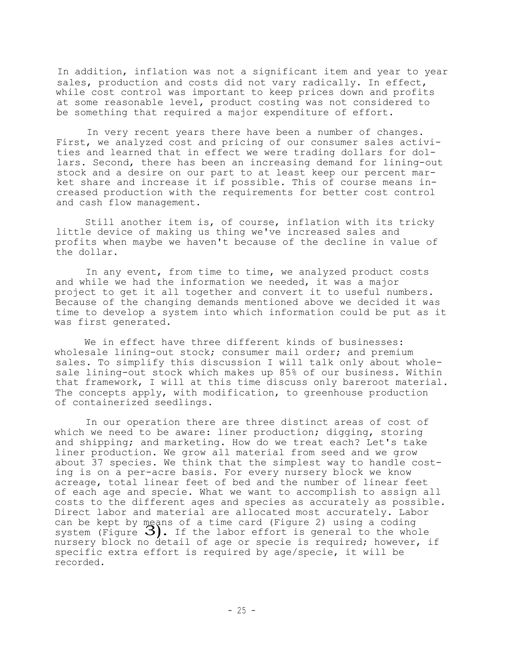In addition, inflation was not a significant item and year to year sales, production and costs did not vary radically. In effect, while cost control was important to keep prices down and profits at some reasonable level, product costing was not considered to be something that required a major expenditure of effort.

In very recent years there have been a number of changes. First, we analyzed cost and pricing of our consumer sales activities and learned that in effect we were trading dollars for dollars. Second, there has been an increasing demand for lining-out stock and a desire on our part to at least keep our percent market share and increase it if possible. This of course means increased production with the requirements for better cost control and cash flow management.

Still another item is, of course, inflation with its tricky little device of making us thing we've increased sales and profits when maybe we haven't because of the decline in value of the dollar.

In any event, from time to time, we analyzed product costs and while we had the information we needed, it was a major project to get it all together and convert it to useful numbers. Because of the changing demands mentioned above we decided it was time to develop a system into which information could be put as it was first generated.

We in effect have three different kinds of businesses: wholesale lining-out stock; consumer mail order; and premium sales. To simplify this discussion I will talk only about wholesale lining-out stock which makes up 85% of our business. Within that framework, I will at this time discuss only bareroot material. The concepts apply, with modification, to greenhouse production of containerized seedlings.

In our operation there are three distinct areas of cost of which we need to be aware: liner production; digging, storing and shipping; and marketing. How do we treat each? Let's take liner production. We grow all material from seed and we grow about 37 species. We think that the simplest way to handle costing is on a per-acre basis. For every nursery block we know acreage, total linear feet of bed and the number of linear feet of each age and specie. What we want to accomplish to assign all costs to the different ages and species as accurately as possible. Direct labor and material are allocated most accurately. Labor can be kept by means of a time card (Figure 2) using a coding system (Figure  $3)$ . If the labor effort is general to the whole nursery block no detail of age or specie is required; however, if specific extra effort is required by age/specie, it will be recorded.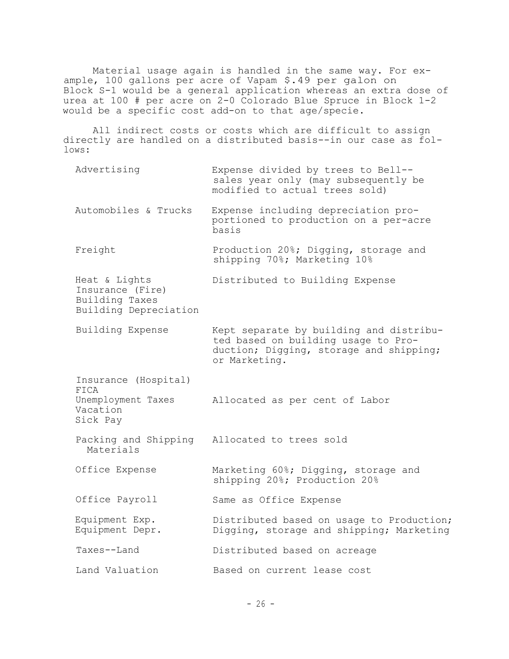Material usage again is handled in the same way. For example, 100 gallons per acre of Vapam \$.49 per galon on Block S-1 would be a general application whereas an extra dose of urea at 100 # per acre on 2-0 Colorado Blue Spruce in Block 1-2 would be a specific cost add-on to that age/specie.

All indirect costs or costs which are difficult to assign directly are handled on a distributed basis--in our case as follows:

| Advertising                                                                  | Expense divided by trees to Bell--<br>sales year only (may subsequently be<br>modified to actual trees sold)                               |
|------------------------------------------------------------------------------|--------------------------------------------------------------------------------------------------------------------------------------------|
| Automobiles & Trucks                                                         | Expense including depreciation pro-<br>portioned to production on a per-acre<br>basis                                                      |
| Freight                                                                      | Production 20%; Digging, storage and<br>shipping 70%; Marketing 10%                                                                        |
| Heat & Lights<br>Insurance (Fire)<br>Building Taxes<br>Building Depreciation | Distributed to Building Expense                                                                                                            |
| Building Expense                                                             | Kept separate by building and distribu-<br>ted based on building usage to Pro-<br>duction; Digging, storage and shipping;<br>or Marketing. |
| Insurance (Hospital)<br>FICA<br>Unemployment Taxes<br>Vacation<br>Sick Pay   | Allocated as per cent of Labor                                                                                                             |
| Materials                                                                    | Packing and Shipping Allocated to trees sold                                                                                               |
| Office Expense                                                               | Marketing 60%; Digging, storage and<br>shipping 20%; Production 20%                                                                        |
| Office Payroll                                                               | Same as Office Expense                                                                                                                     |
| Equipment Exp.<br>Equipment Depr.                                            | Distributed based on usage to Production;<br>Digging, storage and shipping; Marketing                                                      |
| Taxes--Land                                                                  | Distributed based on acreage                                                                                                               |
| Land Valuation                                                               | Based on current lease cost                                                                                                                |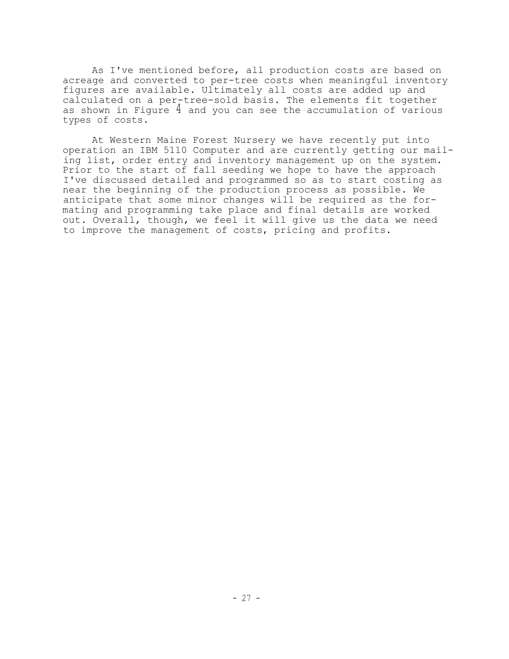As I've mentioned before, all production costs are based on acreage and converted to per-tree costs when meaningful inventory figures are available. Ultimately all costs are added up and calculated on a per-tree-sold basis. The elements fit together as shown in Figure 4 and you can see the accumulation of various types of costs.

At Western Maine Forest Nursery we have recently put into operation an IBM 5110 Computer and are currently getting our mailing list, order entry and inventory management up on the system. Prior to the start of fall seeding we hope to have the approach I've discussed detailed and programmed so as to start costing as near the beginning of the production process as possible. We anticipate that some minor changes will be required as the formating and programming take place and final details are worked out. Overall, though, we feel it will give us the data we need to improve the management of costs, pricing and profits.